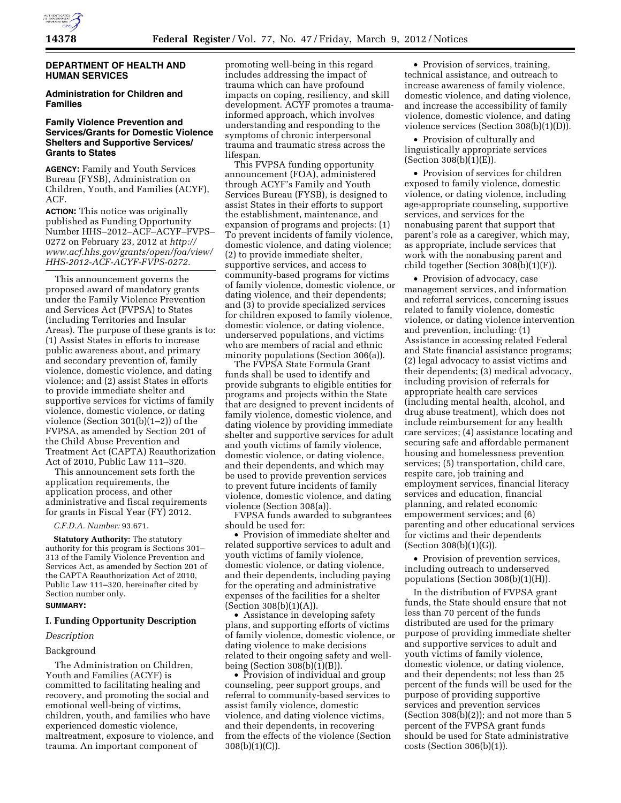

# **DEPARTMENT OF HEALTH AND HUMAN SERVICES**

# **Administration for Children and Families**

# **Family Violence Prevention and Services/Grants for Domestic Violence Shelters and Supportive Services/ Grants to States**

**AGENCY:** Family and Youth Services Bureau (FYSB), Administration on Children, Youth, and Families (ACYF), ACF.

**ACTION:** This notice was originally published as Funding Opportunity Number HHS–2012–ACF–ACYF–FVPS– 0272 on February 23, 2012 at *[http://](http://www.acf.hhs.gov/grants/open/foa/view/HHS-2012-ACF-ACYF-FVPS-0272)  [www.acf.hhs.gov/grants/open/foa/view/](http://www.acf.hhs.gov/grants/open/foa/view/HHS-2012-ACF-ACYF-FVPS-0272) [HHS-2012-ACF-ACYF-FVPS-0272.](http://www.acf.hhs.gov/grants/open/foa/view/HHS-2012-ACF-ACYF-FVPS-0272)* 

This announcement governs the proposed award of mandatory grants under the Family Violence Prevention and Services Act (FVPSA) to States (including Territories and Insular Areas). The purpose of these grants is to: (1) Assist States in efforts to increase public awareness about, and primary and secondary prevention of, family violence, domestic violence, and dating violence; and (2) assist States in efforts to provide immediate shelter and supportive services for victims of family violence, domestic violence, or dating violence (Section 301(b)(1–2)) of the FVPSA, as amended by Section 201 of the Child Abuse Prevention and Treatment Act (CAPTA) Reauthorization Act of 2010, Public Law 111–320.

This announcement sets forth the application requirements, the application process, and other administrative and fiscal requirements for grants in Fiscal Year (FY) 2012.

## *C.F.D.A. Number:* 93.671.

**Statutory Authority:** The statutory authority for this program is Sections 301– 313 of the Family Violence Prevention and Services Act, as amended by Section 201 of the CAPTA Reauthorization Act of 2010, Public Law 111–320, hereinafter cited by Section number only.

# **SUMMARY:**

# **I. Funding Opportunity Description**

## *Description*

## Background

The Administration on Children, Youth and Families (ACYF) is committed to facilitating healing and recovery, and promoting the social and emotional well-being of victims, children, youth, and families who have experienced domestic violence, maltreatment, exposure to violence, and trauma. An important component of

promoting well-being in this regard includes addressing the impact of trauma which can have profound impacts on coping, resiliency, and skill development. ACYF promotes a traumainformed approach, which involves understanding and responding to the symptoms of chronic interpersonal trauma and traumatic stress across the lifespan.

This FVPSA funding opportunity announcement (FOA), administered through ACYF's Family and Youth Services Bureau (FYSB), is designed to assist States in their efforts to support the establishment, maintenance, and expansion of programs and projects: (1) To prevent incidents of family violence, domestic violence, and dating violence; (2) to provide immediate shelter, supportive services, and access to community-based programs for victims of family violence, domestic violence, or dating violence, and their dependents; and (3) to provide specialized services for children exposed to family violence, domestic violence, or dating violence, underserved populations, and victims who are members of racial and ethnic minority populations (Section 306(a)).

The FVPSA State Formula Grant funds shall be used to identify and provide subgrants to eligible entities for programs and projects within the State that are designed to prevent incidents of family violence, domestic violence, and dating violence by providing immediate shelter and supportive services for adult and youth victims of family violence, domestic violence, or dating violence, and their dependents, and which may be used to provide prevention services to prevent future incidents of family violence, domestic violence, and dating violence (Section 308(a)).

FVPSA funds awarded to subgrantees should be used for:

• Provision of immediate shelter and related supportive services to adult and youth victims of family violence, domestic violence, or dating violence, and their dependents, including paying for the operating and administrative expenses of the facilities for a shelter (Section 308(b)(1)(A)).

• Assistance in developing safety plans, and supporting efforts of victims of family violence, domestic violence, or dating violence to make decisions related to their ongoing safety and wellbeing (Section 308(b)(1)(B)).

• Provision of individual and group counseling, peer support groups, and referral to community-based services to assist family violence, domestic violence, and dating violence victims, and their dependents, in recovering from the effects of the violence (Section 308(b)(1)(C)).

• Provision of services, training, technical assistance, and outreach to increase awareness of family violence, domestic violence, and dating violence, and increase the accessibility of family violence, domestic violence, and dating violence services (Section 308(b)(1)(D)).

• Provision of culturally and linguistically appropriate services (Section 308(b)(1)(E)).

• Provision of services for children exposed to family violence, domestic violence, or dating violence, including age-appropriate counseling, supportive services, and services for the nonabusing parent that support that parent's role as a caregiver, which may, as appropriate, include services that work with the nonabusing parent and child together (Section 308(b)(1)(F)).

• Provision of advocacy, case management services, and information and referral services, concerning issues related to family violence, domestic violence, or dating violence intervention and prevention, including: (1) Assistance in accessing related Federal and State financial assistance programs; (2) legal advocacy to assist victims and their dependents; (3) medical advocacy, including provision of referrals for appropriate health care services (including mental health, alcohol, and drug abuse treatment), which does not include reimbursement for any health care services; (4) assistance locating and securing safe and affordable permanent housing and homelessness prevention services; (5) transportation, child care, respite care, job training and employment services, financial literacy services and education, financial planning, and related economic empowerment services; and (6) parenting and other educational services for victims and their dependents (Section 308(b)(1)(G)).

• Provision of prevention services, including outreach to underserved populations (Section 308(b)(1)(H)).

In the distribution of FVPSA grant funds, the State should ensure that not less than 70 percent of the funds distributed are used for the primary purpose of providing immediate shelter and supportive services to adult and youth victims of family violence, domestic violence, or dating violence, and their dependents; not less than 25 percent of the funds will be used for the purpose of providing supportive services and prevention services (Section  $308(b)(2)$ ); and not more than 5 percent of the FVPSA grant funds should be used for State administrative costs (Section 306(b)(1)).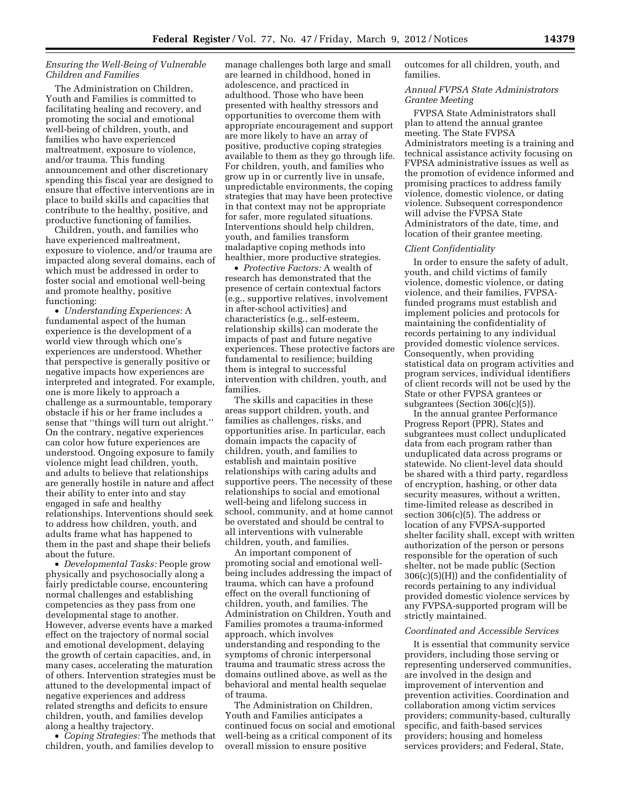# *Ensuring the Well-Being of Vulnerable Children and Families*

The Administration on Children, Youth and Families is committed to facilitating healing and recovery, and promoting the social and emotional well-being of children, youth, and families who have experienced maltreatment, exposure to violence, and/or trauma. This funding announcement and other discretionary spending this fiscal year are designed to ensure that effective interventions are in place to build skills and capacities that contribute to the healthy, positive, and productive functioning of families.

Children, youth, and families who have experienced maltreatment, exposure to violence, and/or trauma are impacted along several domains, each of which must be addressed in order to foster social and emotional well-being and promote healthy, positive functioning:

• *Understanding Experiences:* A fundamental aspect of the human experience is the development of a world view through which one's experiences are understood. Whether that perspective is generally positive or negative impacts how experiences are interpreted and integrated. For example, one is more likely to approach a challenge as a surmountable, temporary obstacle if his or her frame includes a sense that ''things will turn out alright.'' On the contrary, negative experiences can color how future experiences are understood. Ongoing exposure to family violence might lead children, youth, and adults to believe that relationships are generally hostile in nature and affect their ability to enter into and stay engaged in safe and healthy relationships. Interventions should seek to address how children, youth, and adults frame what has happened to them in the past and shape their beliefs about the future.

• *Developmental Tasks:* People grow physically and psychosocially along a fairly predictable course, encountering normal challenges and establishing competencies as they pass from one developmental stage to another. However, adverse events have a marked effect on the trajectory of normal social and emotional development, delaying the growth of certain capacities, and, in many cases, accelerating the maturation of others. Intervention strategies must be attuned to the developmental impact of negative experiences and address related strengths and deficits to ensure children, youth, and families develop along a healthy trajectory.

• *Coping Strategies:* The methods that children, youth, and families develop to

manage challenges both large and small are learned in childhood, honed in adolescence, and practiced in adulthood. Those who have been presented with healthy stressors and opportunities to overcome them with appropriate encouragement and support are more likely to have an array of positive, productive coping strategies available to them as they go through life. For children, youth, and families who grow up in or currently live in unsafe, unpredictable environments, the coping strategies that may have been protective in that context may not be appropriate for safer, more regulated situations. Interventions should help children, youth, and families transform maladaptive coping methods into healthier, more productive strategies.

• *Protective Factors:* A wealth of research has demonstrated that the presence of certain contextual factors (e.g., supportive relatives, involvement in after-school activities) and characteristics (e.g., self-esteem, relationship skills) can moderate the impacts of past and future negative experiences. These protective factors are fundamental to resilience; building them is integral to successful intervention with children, youth, and families.

The skills and capacities in these areas support children, youth, and families as challenges, risks, and opportunities arise. In particular, each domain impacts the capacity of children, youth, and families to establish and maintain positive relationships with caring adults and supportive peers. The necessity of these relationships to social and emotional well-being and lifelong success in school, community, and at home cannot be overstated and should be central to all interventions with vulnerable children, youth, and families.

An important component of promoting social and emotional wellbeing includes addressing the impact of trauma, which can have a profound effect on the overall functioning of children, youth, and families. The Administration on Children, Youth and Families promotes a trauma-informed approach, which involves understanding and responding to the symptoms of chronic interpersonal trauma and traumatic stress across the domains outlined above, as well as the behavioral and mental health sequelae of trauma.

The Administration on Children, Youth and Families anticipates a continued focus on social and emotional well-being as a critical component of its overall mission to ensure positive

outcomes for all children, youth, and families.

# *Annual FVPSA State Administrators Grantee Meeting*

FVPSA State Administrators shall plan to attend the annual grantee meeting. The State FVPSA Administrators meeting is a training and technical assistance activity focusing on FVPSA administrative issues as well as the promotion of evidence informed and promising practices to address family violence, domestic violence, or dating violence. Subsequent correspondence will advise the FVPSA State Administrators of the date, time, and location of their grantee meeting.

# *Client Confidentiality*

In order to ensure the safety of adult, youth, and child victims of family violence, domestic violence, or dating violence, and their families, FVPSAfunded programs must establish and implement policies and protocols for maintaining the confidentiality of records pertaining to any individual provided domestic violence services. Consequently, when providing statistical data on program activities and program services, individual identifiers of client records will not be used by the State or other FVPSA grantees or subgrantees (Section 306(c)(5)).

In the annual grantee Performance Progress Report (PPR), States and subgrantees must collect unduplicated data from each program rather than unduplicated data across programs or statewide. No client-level data should be shared with a third party, regardless of encryption, hashing, or other data security measures, without a written, time-limited release as described in section 306(c)(5). The address or location of any FVPSA-supported shelter facility shall, except with written authorization of the person or persons responsible for the operation of such shelter, not be made public (Section  $306(c)(5)(H)$  and the confidentiality of records pertaining to any individual provided domestic violence services by any FVPSA-supported program will be strictly maintained.

#### *Coordinated and Accessible Services*

It is essential that community service providers, including those serving or representing underserved communities, are involved in the design and improvement of intervention and prevention activities. Coordination and collaboration among victim services providers; community-based, culturally specific, and faith-based services providers; housing and homeless services providers; and Federal, State,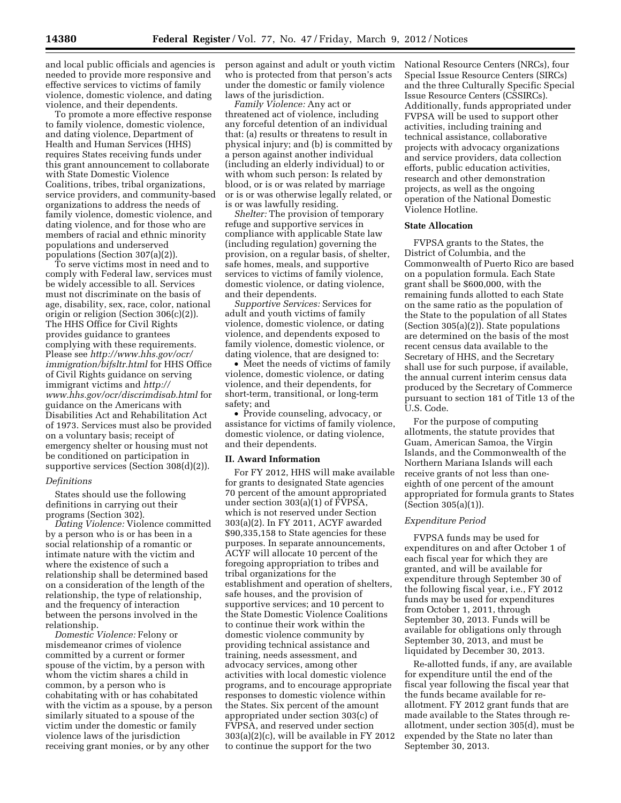and local public officials and agencies is needed to provide more responsive and effective services to victims of family violence, domestic violence, and dating violence, and their dependents.

To promote a more effective response to family violence, domestic violence, and dating violence, Department of Health and Human Services (HHS) requires States receiving funds under this grant announcement to collaborate with State Domestic Violence Coalitions, tribes, tribal organizations, service providers, and community-based organizations to address the needs of family violence, domestic violence, and dating violence, and for those who are members of racial and ethnic minority populations and underserved populations (Section 307(a)(2)).

To serve victims most in need and to comply with Federal law, services must be widely accessible to all. Services must not discriminate on the basis of age, disability, sex, race, color, national origin or religion (Section 306(c)(2)). The HHS Office for Civil Rights provides guidance to grantees complying with these requirements. Please see *[http://www.hhs.gov/ocr/](http://www.hhs.gov/ocr/immigration/bifsltr.html) [immigration/bifsltr.html](http://www.hhs.gov/ocr/immigration/bifsltr.html)* for HHS Office of Civil Rights guidance on serving immigrant victims and *[http://](http://www.hhs.gov/ocr/discrimdisab.html)  [www.hhs.gov/ocr/discrimdisab.html](http://www.hhs.gov/ocr/discrimdisab.html)* for guidance on the Americans with Disabilities Act and Rehabilitation Act of 1973. Services must also be provided on a voluntary basis; receipt of emergency shelter or housing must not be conditioned on participation in supportive services (Section 308(d)(2)).

#### *Definitions*

States should use the following definitions in carrying out their programs (Section 302).

*Dating Violence:* Violence committed by a person who is or has been in a social relationship of a romantic or intimate nature with the victim and where the existence of such a relationship shall be determined based on a consideration of the length of the relationship, the type of relationship, and the frequency of interaction between the persons involved in the relationship.

*Domestic Violence:* Felony or misdemeanor crimes of violence committed by a current or former spouse of the victim, by a person with whom the victim shares a child in common, by a person who is cohabitating with or has cohabitated with the victim as a spouse, by a person similarly situated to a spouse of the victim under the domestic or family violence laws of the jurisdiction receiving grant monies, or by any other

person against and adult or youth victim who is protected from that person's acts under the domestic or family violence laws of the jurisdiction.

*Family Violence:* Any act or threatened act of violence, including any forceful detention of an individual that: (a) results or threatens to result in physical injury; and (b) is committed by a person against another individual (including an elderly individual) to or with whom such person: Is related by blood, or is or was related by marriage or is or was otherwise legally related, or is or was lawfully residing.

*Shelter:* The provision of temporary refuge and supportive services in compliance with applicable State law (including regulation) governing the provision, on a regular basis, of shelter, safe homes, meals, and supportive services to victims of family violence, domestic violence, or dating violence, and their dependents.

*Supportive Services:* Services for adult and youth victims of family violence, domestic violence, or dating violence, and dependents exposed to family violence, domestic violence, or dating violence, that are designed to:

• Meet the needs of victims of family violence, domestic violence, or dating violence, and their dependents, for short-term, transitional, or long-term safety; and

• Provide counseling, advocacy, or assistance for victims of family violence, domestic violence, or dating violence, and their dependents.

#### **II. Award Information**

For FY 2012, HHS will make available for grants to designated State agencies 70 percent of the amount appropriated under section 303(a)(1) of FVPSA, which is not reserved under Section 303(a)(2). In FY 2011, ACYF awarded \$90,335,158 to State agencies for these purposes. In separate announcements, ACYF will allocate 10 percent of the foregoing appropriation to tribes and tribal organizations for the establishment and operation of shelters, safe houses, and the provision of supportive services; and 10 percent to the State Domestic Violence Coalitions to continue their work within the domestic violence community by providing technical assistance and training, needs assessment, and advocacy services, among other activities with local domestic violence programs, and to encourage appropriate responses to domestic violence within the States. Six percent of the amount appropriated under section 303(c) of FVPSA, and reserved under section 303(a)(2)(c), will be available in FY 2012 to continue the support for the two

National Resource Centers (NRCs), four Special Issue Resource Centers (SIRCs) and the three Culturally Specific Special Issue Resource Centers (CSSIRCs). Additionally, funds appropriated under FVPSA will be used to support other activities, including training and technical assistance, collaborative projects with advocacy organizations and service providers, data collection efforts, public education activities, research and other demonstration projects, as well as the ongoing operation of the National Domestic Violence Hotline.

#### **State Allocation**

FVPSA grants to the States, the District of Columbia, and the Commonwealth of Puerto Rico are based on a population formula. Each State grant shall be \$600,000, with the remaining funds allotted to each State on the same ratio as the population of the State to the population of all States (Section 305(a)(2)). State populations are determined on the basis of the most recent census data available to the Secretary of HHS, and the Secretary shall use for such purpose, if available, the annual current interim census data produced by the Secretary of Commerce pursuant to section 181 of Title 13 of the U.S. Code.

For the purpose of computing allotments, the statute provides that Guam, American Samoa, the Virgin Islands, and the Commonwealth of the Northern Mariana Islands will each receive grants of not less than oneeighth of one percent of the amount appropriated for formula grants to States (Section 305(a)(1)).

#### *Expenditure Period*

FVPSA funds may be used for expenditures on and after October 1 of each fiscal year for which they are granted, and will be available for expenditure through September 30 of the following fiscal year, i.e., FY 2012 funds may be used for expenditures from October 1, 2011, through September 30, 2013. Funds will be available for obligations only through September 30, 2013, and must be liquidated by December 30, 2013.

Re-allotted funds, if any, are available for expenditure until the end of the fiscal year following the fiscal year that the funds became available for reallotment. FY 2012 grant funds that are made available to the States through reallotment, under section 305(d), must be expended by the State no later than September 30, 2013.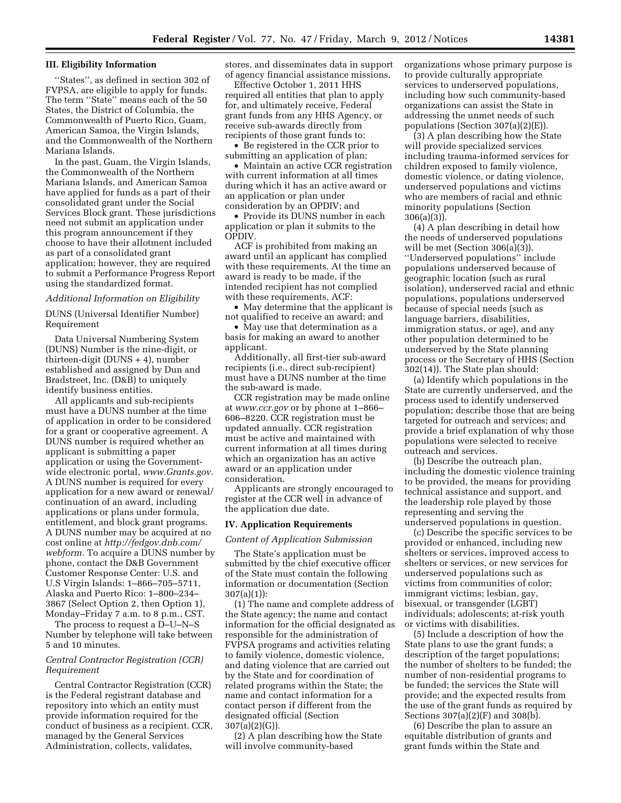## **III. Eligibility Information**

''States'', as defined in section 302 of FVPSA, are eligible to apply for funds. The term "State" means each of the 50 States, the District of Columbia, the Commonwealth of Puerto Rico, Guam, American Samoa, the Virgin Islands, and the Commonwealth of the Northern Mariana Islands.

In the past, Guam, the Virgin Islands, the Commonwealth of the Northern Mariana Islands, and American Samoa have applied for funds as a part of their consolidated grant under the Social Services Block grant. These jurisdictions need not submit an application under this program announcement if they choose to have their allotment included as part of a consolidated grant application; however, they are required to submit a Performance Progress Report using the standardized format.

## *Additional Information on Eligibility*

DUNS (Universal Identifier Number) Requirement

Data Universal Numbering System (DUNS) Number is the nine-digit, or thirteen-digit (DUNS + 4), number established and assigned by Dun and Bradstreet, Inc. (D&B) to uniquely identify business entities.

All applicants and sub-recipients must have a DUNS number at the time of application in order to be considered for a grant or cooperative agreement. A DUNS number is required whether an applicant is submitting a paper application or using the Governmentwide electronic portal, *[www.Grants.gov.](http://www.Grants.gov)*  A DUNS number is required for every application for a new award or renewal/ continuation of an award, including applications or plans under formula, entitlement, and block grant programs. A DUNS number may be acquired at no cost online at *[http://fedgov.dnb.com/](http://fedgov.dnb.com/webform)  [webform.](http://fedgov.dnb.com/webform)* To acquire a DUNS number by phone, contact the D&B Government Customer Response Center: U.S. and U.S Virgin Islands: 1–866–705–5711, Alaska and Puerto Rico: 1–800–234– 3867 (Select Option 2, then Option 1), Monday–Friday 7 a.m. to 8 p.m., CST.

The process to request a D–U–N–S Number by telephone will take between 5 and 10 minutes.

### *Central Contractor Registration (CCR) Requirement*

Central Contractor Registration (CCR) is the Federal registrant database and repository into which an entity must provide information required for the conduct of business as a recipient. CCR, managed by the General Services Administration, collects, validates,

stores, and disseminates data in support of agency financial assistance missions.

Effective October 1, 2011 HHS required all entities that plan to apply for, and ultimately receive, Federal grant funds from any HHS Agency, or receive sub-awards directly from recipients of those grant funds to:

• Be registered in the CCR prior to submitting an application of plan;

• Maintain an active CCR registration with current information at all times during which it has an active award or an application or plan under consideration by an OPDIV; and

• Provide its DUNS number in each application or plan it submits to the OPDIV.

ACF is prohibited from making an award until an applicant has complied with these requirements. At the time an award is ready to be made, if the intended recipient has not complied with these requirements, ACF:

• May determine that the applicant is not qualified to receive an award; and

• May use that determination as a basis for making an award to another applicant.

Additionally, all first-tier sub-award recipients (i.e., direct sub-recipient) must have a DUNS number at the time the sub-award is made.

CCR registration may be made online at *[www.ccr.gov](http://www.ccr.gov)* or by phone at 1–866– 606–8220. CCR registration must be updated annually. CCR registration must be active and maintained with current information at all times during which an organization has an active award or an application under consideration.

Applicants are strongly encouraged to register at the CCR well in advance of the application due date.

## **IV. Application Requirements**

#### *Content of Application Submission*

The State's application must be submitted by the chief executive officer of the State must contain the following information or documentation (Section 307(a)(1)):

(1) The name and complete address of the State agency; the name and contact information for the official designated as responsible for the administration of FVPSA programs and activities relating to family violence, domestic violence, and dating violence that are carried out by the State and for coordination of related programs within the State; the name and contact information for a contact person if different from the designated official (Section 307(a)(2)(G)).

(2) A plan describing how the State will involve community-based

organizations whose primary purpose is to provide culturally appropriate services to underserved populations, including how such community-based organizations can assist the State in addressing the unmet needs of such populations (Section 307(a)(2)(E)).

(3) A plan describing how the State will provide specialized services including trauma-informed services for children exposed to family violence, domestic violence, or dating violence, underserved populations and victims who are members of racial and ethnic minority populations (Section 306(a)(3)).

(4) A plan describing in detail how the needs of underserved populations will be met (Section 306(a)(3)). ''Underserved populations'' include populations underserved because of geographic location (such as rural isolation), underserved racial and ethnic populations, populations underserved because of special needs (such as language barriers, disabilities, immigration status, or age), and any other population determined to be underserved by the State planning process or the Secretary of HHS (Section 302(14)). The State plan should:

(a) Identify which populations in the State are currently underserved, and the process used to identify underserved population; describe those that are being targeted for outreach and services; and provide a brief explanation of why those populations were selected to receive outreach and services.

(b) Describe the outreach plan, including the domestic violence training to be provided, the means for providing technical assistance and support, and the leadership role played by those representing and serving the underserved populations in question.

(c) Describe the specific services to be provided or enhanced, including new shelters or services, improved access to shelters or services, or new services for underserved populations such as victims from communities of color; immigrant victims; lesbian, gay, bisexual, or transgender (LGBT) individuals; adolescents; at-risk youth or victims with disabilities.

(5) Include a description of how the State plans to use the grant funds; a description of the target populations; the number of shelters to be funded; the number of non-residential programs to be funded; the services the State will provide; and the expected results from the use of the grant funds as required by Sections 307(a)(2)(F) and 308(b).

(6) Describe the plan to assure an equitable distribution of grants and grant funds within the State and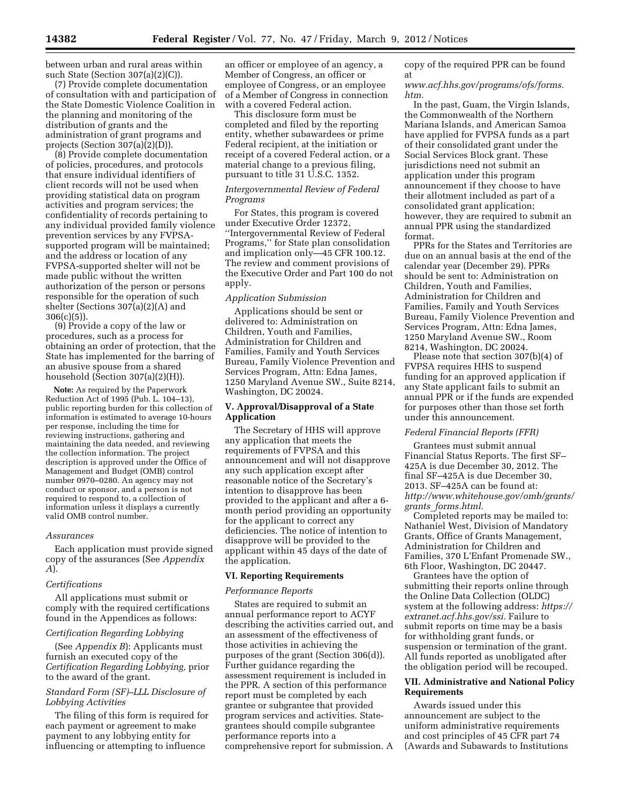between urban and rural areas within such State (Section 307(a)(2)(C)).

(7) Provide complete documentation of consultation with and participation of the State Domestic Violence Coalition in the planning and monitoring of the distribution of grants and the administration of grant programs and projects (Section 307(a)(2)(D)).

(8) Provide complete documentation of policies, procedures, and protocols that ensure individual identifiers of client records will not be used when providing statistical data on program activities and program services; the confidentiality of records pertaining to any individual provided family violence prevention services by any FVPSAsupported program will be maintained; and the address or location of any FVPSA-supported shelter will not be made public without the written authorization of the person or persons responsible for the operation of such shelter (Sections 307(a)(2)(A) and  $306(c)(5)$ ).

(9) Provide a copy of the law or procedures, such as a process for obtaining an order of protection, that the State has implemented for the barring of an abusive spouse from a shared household (Section 307(a)(2)(H)).

**Note:** As required by the Paperwork Reduction Act of 1995 (Pub. L. 104–13), public reporting burden for this collection of information is estimated to average 10-hours per response, including the time for reviewing instructions, gathering and maintaining the data needed, and reviewing the collection information. The project description is approved under the Office of Management and Budget (OMB) control number 0970–0280. An agency may not conduct or sponsor, and a person is not required to respond to, a collection of information unless it displays a currently valid OMB control number.

#### *Assurances*

Each application must provide signed copy of the assurances (See *Appendix A*).

### *Certifications*

All applications must submit or comply with the required certifications found in the Appendices as follows:

# *Certification Regarding Lobbying*

(See *Appendix B*): Applicants must furnish an executed copy of the *Certification Regarding Lobbying,* prior to the award of the grant.

# *Standard Form (SF)–LLL Disclosure of Lobbying Activities*

The filing of this form is required for each payment or agreement to make payment to any lobbying entity for influencing or attempting to influence

an officer or employee of an agency, a Member of Congress, an officer or employee of Congress, or an employee of a Member of Congress in connection with a covered Federal action.

This disclosure form must be completed and filed by the reporting entity, whether subawardees or prime Federal recipient, at the initiation or receipt of a covered Federal action, or a material change to a previous filing, pursuant to title 31 U.S.C. 1352.

## *Intergovernmental Review of Federal Programs*

For States, this program is covered under Executive Order 12372, ''Intergovernmental Review of Federal Programs,'' for State plan consolidation and implication only—45 CFR 100.12. The review and comment provisions of the Executive Order and Part 100 do not apply.

#### *Application Submission*

Applications should be sent or delivered to: Administration on Children, Youth and Families, Administration for Children and Families, Family and Youth Services Bureau, Family Violence Prevention and Services Program, Attn: Edna James, 1250 Maryland Avenue SW., Suite 8214, Washington, DC 20024.

# **V. Approval/Disapproval of a State Application**

The Secretary of HHS will approve any application that meets the requirements of FVPSA and this announcement and will not disapprove any such application except after reasonable notice of the Secretary's intention to disapprove has been provided to the applicant and after a 6 month period providing an opportunity for the applicant to correct any deficiencies. The notice of intention to disapprove will be provided to the applicant within 45 days of the date of the application.

## **VI. Reporting Requirements**

#### *Performance Reports*

States are required to submit an annual performance report to ACYF describing the activities carried out, and an assessment of the effectiveness of those activities in achieving the purposes of the grant (Section 306(d)). Further guidance regarding the assessment requirement is included in the PPR. A section of this performance report must be completed by each grantee or subgrantee that provided program services and activities. Stategrantees should compile subgrantee performance reports into a comprehensive report for submission. A

copy of the required PPR can be found at

## *[www.acf.hhs.gov/programs/ofs/forms.](http://www.acf.hhs.gov/programs/ofs/forms.htm) [htm.](http://www.acf.hhs.gov/programs/ofs/forms.htm)*

In the past, Guam, the Virgin Islands, the Commonwealth of the Northern Mariana Islands, and American Samoa have applied for FVPSA funds as a part of their consolidated grant under the Social Services Block grant. These jurisdictions need not submit an application under this program announcement if they choose to have their allotment included as part of a consolidated grant application; however, they are required to submit an annual PPR using the standardized format.

PPRs for the States and Territories are due on an annual basis at the end of the calendar year (December 29). PPRs should be sent to: Administration on Children, Youth and Families, Administration for Children and Families, Family and Youth Services Bureau, Family Violence Prevention and Services Program, Attn: Edna James, 1250 Maryland Avenue SW., Room 8214, Washington, DC 20024.

Please note that section 307(b)(4) of FVPSA requires HHS to suspend funding for an approved application if any State applicant fails to submit an annual PPR or if the funds are expended for purposes other than those set forth under this announcement.

#### *Federal Financial Reports (FFR)*

Grantees must submit annual Financial Status Reports. The first SF– 425A is due December 30, 2012. The final SF–425A is due December 30, 2013. SF–425A can be found at: *[http://www.whitehouse.gov/omb/grants/](http://www.whitehouse.gov/omb/grants/grants_forms.html) grants*\_*[forms.html.](http://www.whitehouse.gov/omb/grants/grants_forms.html)* 

Completed reports may be mailed to: Nathaniel West, Division of Mandatory Grants, Office of Grants Management, Administration for Children and Families, 370 L'Enfant Promenade SW., 6th Floor, Washington, DC 20447.

Grantees have the option of submitting their reports online through the Online Data Collection (OLDC) system at the following address: *[https://](https://extranet.acf.hhs.gov/ssi) [extranet.acf.hhs.gov/ssi.](https://extranet.acf.hhs.gov/ssi)* Failure to submit reports on time may be a basis for withholding grant funds, or suspension or termination of the grant. All funds reported as unobligated after the obligation period will be recouped.

# **VII. Administrative and National Policy Requirements**

Awards issued under this announcement are subject to the uniform administrative requirements and cost principles of 45 CFR part 74 (Awards and Subawards to Institutions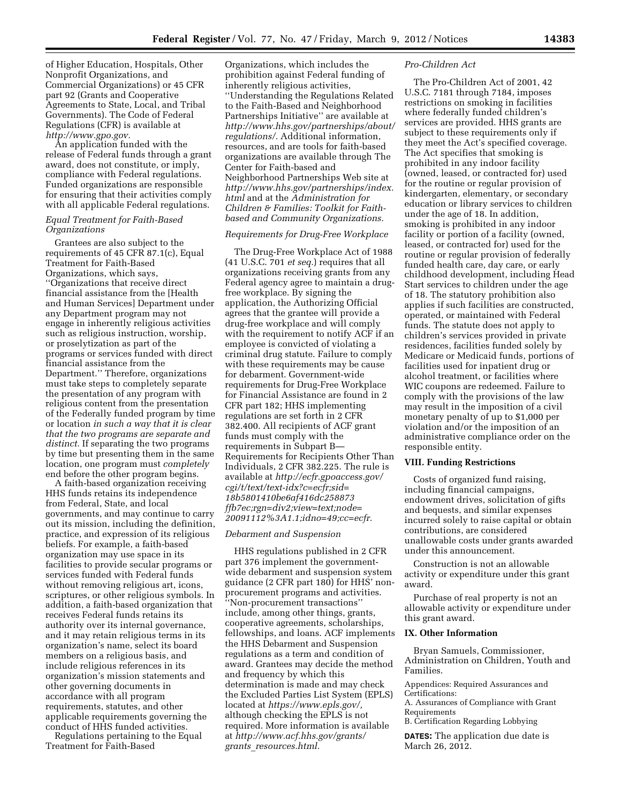of Higher Education, Hospitals, Other Nonprofit Organizations, and Commercial Organizations) or 45 CFR part 92 (Grants and Cooperative Agreements to State, Local, and Tribal Governments). The Code of Federal Regulations (CFR) is available at *[http://www.gpo.gov.](http://www.gpo.gov)* 

An application funded with the release of Federal funds through a grant award, does not constitute, or imply, compliance with Federal regulations. Funded organizations are responsible for ensuring that their activities comply with all applicable Federal regulations.

## *Equal Treatment for Faith-Based Organizations*

Grantees are also subject to the requirements of 45 CFR 87.1(c), Equal Treatment for Faith-Based Organizations, which says, ''Organizations that receive direct financial assistance from the [Health and Human Services] Department under any Department program may not engage in inherently religious activities such as religious instruction, worship, or proselytization as part of the programs or services funded with direct financial assistance from the Department.'' Therefore, organizations must take steps to completely separate the presentation of any program with religious content from the presentation of the Federally funded program by time or location *in such a way that it is clear that the two programs are separate and distinct.* If separating the two programs by time but presenting them in the same location, one program must *completely*  end before the other program begins.

A faith-based organization receiving HHS funds retains its independence from Federal, State, and local governments, and may continue to carry out its mission, including the definition, practice, and expression of its religious beliefs. For example, a faith-based organization may use space in its facilities to provide secular programs or services funded with Federal funds without removing religious art, icons, scriptures, or other religious symbols. In addition, a faith-based organization that receives Federal funds retains its authority over its internal governance, and it may retain religious terms in its organization's name, select its board members on a religious basis, and include religious references in its organization's mission statements and other governing documents in accordance with all program requirements, statutes, and other applicable requirements governing the conduct of HHS funded activities.

Regulations pertaining to the Equal Treatment for Faith-Based

Organizations, which includes the prohibition against Federal funding of inherently religious activities, ''Understanding the Regulations Related to the Faith-Based and Neighborhood Partnerships Initiative'' are available at *[http://www.hhs.gov/partnerships/about/](http://www.hhs.gov/partnerships/about/regulations/) [regulations/.](http://www.hhs.gov/partnerships/about/regulations/)* Additional information, resources, and are tools for faith-based organizations are available through The Center for Faith-based and Neighborhood Partnerships Web site at *[http://www.hhs.gov/partnerships/index.](http://www.hhs.gov/partnerships/index.html) [html](http://www.hhs.gov/partnerships/index.html)* and at the *Administration for Children & Families: Toolkit for Faithbased and Community Organizations.* 

# *Requirements for Drug-Free Workplace*

The Drug-Free Workplace Act of 1988 (41 U.S.C. 701 *et seq.*) requires that all organizations receiving grants from any Federal agency agree to maintain a drugfree workplace. By signing the application, the Authorizing Official agrees that the grantee will provide a drug-free workplace and will comply with the requirement to notify ACF if an employee is convicted of violating a criminal drug statute. Failure to comply with these requirements may be cause for debarment. Government-wide requirements for Drug-Free Workplace for Financial Assistance are found in 2 CFR part 182; HHS implementing regulations are set forth in 2 CFR 382.400. All recipients of ACF grant funds must comply with the requirements in Subpart B— Requirements for Recipients Other Than Individuals, 2 CFR 382.225. The rule is available at *[http://ecfr.gpoaccess.gov/](http://ecfr.gpoaccess.gov/cgi/t/text/text-idx?c=ecfr;sid=18b5801410be6af416dc258873ffb7ec;rgn=div2;view=text;node=20091112%3A1.1;idno=49;cc=ecfr) [cgi/t/text/text-idx?c=ecfr;sid=](http://ecfr.gpoaccess.gov/cgi/t/text/text-idx?c=ecfr;sid=18b5801410be6af416dc258873ffb7ec;rgn=div2;view=text;node=20091112%3A1.1;idno=49;cc=ecfr) [18b5801410be6af416dc258873](http://ecfr.gpoaccess.gov/cgi/t/text/text-idx?c=ecfr;sid=18b5801410be6af416dc258873ffb7ec;rgn=div2;view=text;node=20091112%3A1.1;idno=49;cc=ecfr) [ffb7ec;rgn=div2;view=text;node=](http://ecfr.gpoaccess.gov/cgi/t/text/text-idx?c=ecfr;sid=18b5801410be6af416dc258873ffb7ec;rgn=div2;view=text;node=20091112%3A1.1;idno=49;cc=ecfr) [20091112%3A1.1;idno=49;cc=ecfr.](http://ecfr.gpoaccess.gov/cgi/t/text/text-idx?c=ecfr;sid=18b5801410be6af416dc258873ffb7ec;rgn=div2;view=text;node=20091112%3A1.1;idno=49;cc=ecfr)* 

## *Debarment and Suspension*

HHS regulations published in 2 CFR part 376 implement the governmentwide debarment and suspension system guidance (2 CFR part 180) for HHS' nonprocurement programs and activities. ''Non-procurement transactions'' include, among other things, grants, cooperative agreements, scholarships, fellowships, and loans. ACF implements the HHS Debarment and Suspension regulations as a term and condition of award. Grantees may decide the method and frequency by which this determination is made and may check the Excluded Parties List System (EPLS) located at *[https://www.epls.gov/,](https://www.epls.gov/)*  although checking the EPLS is not required. More information is available at *[http://www.acf.hhs.gov/grants/](http://www.acf.hhs.gov/grants/grants_resources.html) grants*\_*[resources.html.](http://www.acf.hhs.gov/grants/grants_resources.html)* 

#### *Pro-Children Act*

The Pro-Children Act of 2001, 42 U.S.C. 7181 through 7184, imposes restrictions on smoking in facilities where federally funded children's services are provided. HHS grants are subject to these requirements only if they meet the Act's specified coverage. The Act specifies that smoking is prohibited in any indoor facility (owned, leased, or contracted for) used for the routine or regular provision of kindergarten, elementary, or secondary education or library services to children under the age of 18. In addition, smoking is prohibited in any indoor facility or portion of a facility (owned, leased, or contracted for) used for the routine or regular provision of federally funded health care, day care, or early childhood development, including Head Start services to children under the age of 18. The statutory prohibition also applies if such facilities are constructed, operated, or maintained with Federal funds. The statute does not apply to children's services provided in private residences, facilities funded solely by Medicare or Medicaid funds, portions of facilities used for inpatient drug or alcohol treatment, or facilities where WIC coupons are redeemed. Failure to comply with the provisions of the law may result in the imposition of a civil monetary penalty of up to \$1,000 per violation and/or the imposition of an administrative compliance order on the responsible entity.

#### **VIII. Funding Restrictions**

Costs of organized fund raising, including financial campaigns, endowment drives, solicitation of gifts and bequests, and similar expenses incurred solely to raise capital or obtain contributions, are considered unallowable costs under grants awarded under this announcement.

Construction is not an allowable activity or expenditure under this grant award.

Purchase of real property is not an allowable activity or expenditure under this grant award.

## **IX. Other Information**

Bryan Samuels, Commissioner, Administration on Children, Youth and Families.

Appendices: Required Assurances and Certifications:

A. Assurances of Compliance with Grant Requirements

B. Certification Regarding Lobbying

**DATES:** The application due date is March 26, 2012.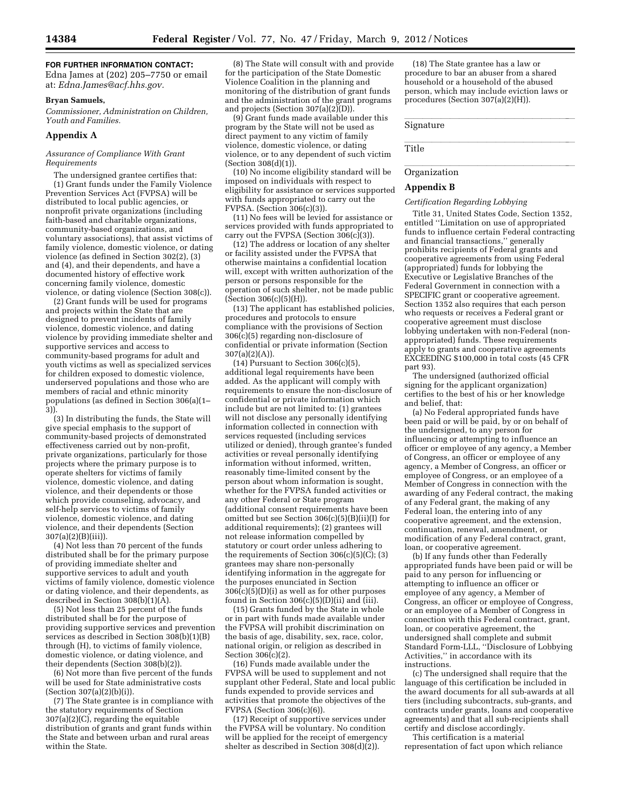## **FOR FURTHER INFORMATION CONTACT:**

Edna James at (202) 205–7750 or email at: *[Edna.James@acf.hhs.gov.](mailto:Edna.James@acf.hhs.gov)* 

#### **Bryan Samuels,**

*Commissioner, Administration on Children, Youth and Families.* 

#### **Appendix A**

#### *Assurance of Compliance With Grant Requirements*

The undersigned grantee certifies that: (1) Grant funds under the Family Violence Prevention Services Act (FVPSA) will be distributed to local public agencies, or nonprofit private organizations (including faith-based and charitable organizations, community-based organizations, and voluntary associations), that assist victims of family violence, domestic violence, or dating violence (as defined in Section 302(2), (3) and (4), and their dependents, and have a documented history of effective work concerning family violence, domestic violence, or dating violence (Section 308(c)).

(2) Grant funds will be used for programs and projects within the State that are designed to prevent incidents of family violence, domestic violence, and dating violence by providing immediate shelter and supportive services and access to community-based programs for adult and youth victims as well as specialized services for children exposed to domestic violence, underserved populations and those who are members of racial and ethnic minority populations (as defined in Section 306(a)(1– 3)).

(3) In distributing the funds, the State will give special emphasis to the support of community-based projects of demonstrated effectiveness carried out by non-profit, private organizations, particularly for those projects where the primary purpose is to operate shelters for victims of family violence, domestic violence, and dating violence, and their dependents or those which provide counseling, advocacy, and self-help services to victims of family violence, domestic violence, and dating violence, and their dependents (Section 307(a)(2)(B)(iii)).

(4) Not less than 70 percent of the funds distributed shall be for the primary purpose of providing immediate shelter and supportive services to adult and youth victims of family violence, domestic violence or dating violence, and their dependents, as described in Section  $308(b)(1)(\tilde{A})$ .

(5) Not less than 25 percent of the funds distributed shall be for the purpose of providing supportive services and prevention services as described in Section 308(b)(1)(B) through (H), to victims of family violence, domestic violence, or dating violence, and their dependents (Section 308(b)(2)).

(6) Not more than five percent of the funds will be used for State administrative costs (Section 307(a)(2)(b)(i)).

(7) The State grantee is in compliance with the statutory requirements of Section 307(a)(2)(C), regarding the equitable distribution of grants and grant funds within the State and between urban and rural areas within the State.

(8) The State will consult with and provide for the participation of the State Domestic Violence Coalition in the planning and monitoring of the distribution of grant funds and the administration of the grant programs and projects (Section 307(a)(2)(D)).

(9) Grant funds made available under this program by the State will not be used as direct payment to any victim of family violence, domestic violence, or dating violence, or to any dependent of such victim  $(Section 308(d)(1))$ .

(10) No income eligibility standard will be imposed on individuals with respect to eligibility for assistance or services supported with funds appropriated to carry out the FVPSA. (Section 306(c)(3)).

(11) No fees will be levied for assistance or services provided with funds appropriated to carry out the FVPSA (Section  $306(c)(3)$ ).

(12) The address or location of any shelter or facility assisted under the FVPSA that otherwise maintains a confidential location will, except with written authorization of the person or persons responsible for the operation of such shelter, not be made public  $(Section 306(c)(5)(H)).$ 

(13) The applicant has established policies, procedures and protocols to ensure compliance with the provisions of Section 306(c)(5) regarding non-disclosure of confidential or private information (Section 307(a)(2)(A)).

(14) Pursuant to Section 306(c)(5), additional legal requirements have been added. As the applicant will comply with requirements to ensure the non-disclosure of confidential or private information which include but are not limited to: (1) grantees will not disclose any personally identifying information collected in connection with services requested (including services utilized or denied), through grantee's funded activities or reveal personally identifying information without informed, written, reasonably time-limited consent by the person about whom information is sought, whether for the FVPSA funded activities or any other Federal or State program (additional consent requirements have been omitted but see Section 306(c)(5)(B)(ii)(I) for additional requirements); (2) grantees will not release information compelled by statutory or court order unless adhering to the requirements of Section  $306(c)(5)(C)$ ; (3) grantees may share non-personally identifying information in the aggregate for the purposes enunciated in Section  $306(c)(5)(D)(i)$  as well as for other purposes found in Section  $306(c)(5)(D)(ii)$  and (iii).

(15) Grants funded by the State in whole or in part with funds made available under the FVPSA will prohibit discrimination on the basis of age, disability, sex, race, color, national origin, or religion as described in Section 306(c)(2).

(16) Funds made available under the FVPSA will be used to supplement and not supplant other Federal, State and local public funds expended to provide services and activities that promote the objectives of the FVPSA (Section 306(c)(6)).

(17) Receipt of supportive services under the FVPSA will be voluntary. No condition will be applied for the receipt of emergency shelter as described in Section 308(d)(2)).

(18) The State grantee has a law or procedure to bar an abuser from a shared household or a household of the abused person, which may include eviction laws or procedures (Section 307(a)(2)(H)).

# Signature **Signature**

 $l$ ll $l$ ll $l$ Title

# **Organization**

#### **Appendix B**

#### *Certification Regarding Lobbying*

Title 31, United States Code, Section 1352, entitled ''Limitation on use of appropriated funds to influence certain Federal contracting and financial transactions,'' generally prohibits recipients of Federal grants and cooperative agreements from using Federal (appropriated) funds for lobbying the Executive or Legislative Branches of the Federal Government in connection with a SPECIFIC grant or cooperative agreement. Section 1352 also requires that each person who requests or receives a Federal grant or cooperative agreement must disclose lobbying undertaken with non-Federal (nonappropriated) funds. These requirements apply to grants and cooperative agreements EXCEEDING \$100,000 in total costs (45 CFR part 93).

The undersigned (authorized official signing for the applicant organization) certifies to the best of his or her knowledge and belief, that:

(a) No Federal appropriated funds have been paid or will be paid, by or on behalf of the undersigned, to any person for influencing or attempting to influence an officer or employee of any agency, a Member of Congress, an officer or employee of any agency, a Member of Congress, an officer or employee of Congress, or an employee of a Member of Congress in connection with the awarding of any Federal contract, the making of any Federal grant, the making of any Federal loan, the entering into of any cooperative agreement, and the extension, continuation, renewal, amendment, or modification of any Federal contract, grant, loan, or cooperative agreement.

(b) If any funds other than Federally appropriated funds have been paid or will be paid to any person for influencing or attempting to influence an officer or employee of any agency, a Member of Congress, an officer or employee of Congress, or an employee of a Member of Congress in connection with this Federal contract, grant, loan, or cooperative agreement, the undersigned shall complete and submit Standard Form-LLL, ''Disclosure of Lobbying Activities,'' in accordance with its instructions.

(c) The undersigned shall require that the language of this certification be included in the award documents for all sub-awards at all tiers (including subcontracts, sub-grants, and contracts under grants, loans and cooperative agreements) and that all sub-recipients shall certify and disclose accordingly.

This certification is a material representation of fact upon which reliance